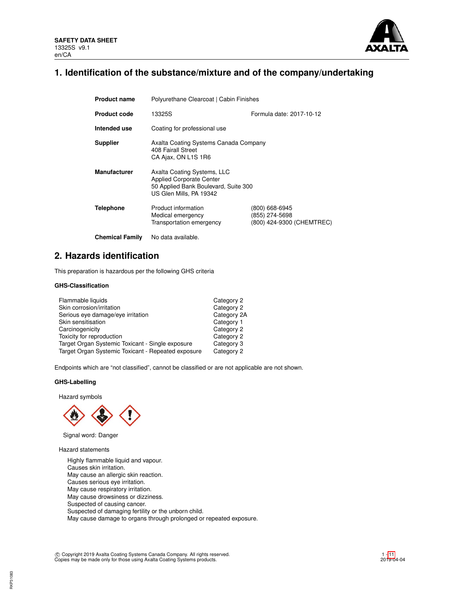

# **1. Identification of the substance/mixture and of the company/undertaking**

| <b>Product name</b>    | Polyurethane Clearcoat   Cabin Finishes                                                                                           |                                                               |  |  |  |
|------------------------|-----------------------------------------------------------------------------------------------------------------------------------|---------------------------------------------------------------|--|--|--|
| <b>Product code</b>    | Formula date: 2017-10-12<br>13325S                                                                                                |                                                               |  |  |  |
| Intended use           | Coating for professional use                                                                                                      |                                                               |  |  |  |
| <b>Supplier</b>        | Axalta Coating Systems Canada Company<br>408 Fairall Street<br>CA Ajax, ON L1S 1R6                                                |                                                               |  |  |  |
| <b>Manufacturer</b>    | Axalta Coating Systems, LLC<br><b>Applied Corporate Center</b><br>50 Applied Bank Boulevard, Suite 300<br>US Glen Mills, PA 19342 |                                                               |  |  |  |
| Telephone              | Product information<br>Medical emergency<br>Transportation emergency                                                              | (800) 668-6945<br>(855) 274-5698<br>(800) 424-9300 (CHEMTREC) |  |  |  |
| <b>Chemical Family</b> | No data available.                                                                                                                |                                                               |  |  |  |

# **2. Hazards identification**

This preparation is hazardous per the following GHS criteria

### **GHS-Classification**

| Flammable liquids                                  | Category 2  |
|----------------------------------------------------|-------------|
| Skin corrosion/irritation                          | Category 2  |
| Serious eye damage/eye irritation                  | Category 2A |
| Skin sensitisation                                 | Category 1  |
| Carcinogenicity                                    | Category 2  |
| Toxicity for reproduction                          | Category 2  |
| Target Organ Systemic Toxicant - Single exposure   | Category 3  |
| Target Organ Systemic Toxicant - Repeated exposure | Category 2  |

Endpoints which are "not classified", cannot be classified or are not applicable are not shown.

### **GHS-Labelling**

Hazard symbols



Signal word: Danger

Hazard statements

Highly flammable liquid and vapour. Causes skin irritation. May cause an allergic skin reaction. Causes serious eye irritation. May cause respiratory irritation. May cause drowsiness or dizziness. Suspected of causing cancer. Suspected of damaging fertility or the unborn child. May cause damage to organs through prolonged or repeated exposure.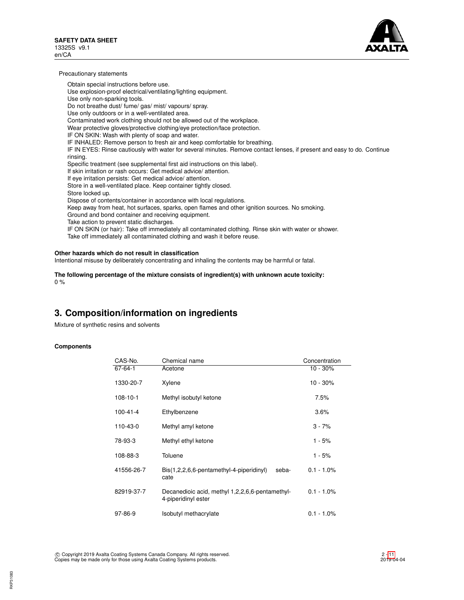

Precautionary statements

Obtain special instructions before use. Use explosion-proof electrical/ventilating/lighting equipment. Use only non-sparking tools. Do not breathe dust/ fume/ gas/ mist/ vapours/ spray. Use only outdoors or in a well-ventilated area. Contaminated work clothing should not be allowed out of the workplace. Wear protective gloves/protective clothing/eye protection/face protection. IF ON SKIN: Wash with plenty of soap and water. IF INHALED: Remove person to fresh air and keep comfortable for breathing. IF IN EYES: Rinse cautiously with water for several minutes. Remove contact lenses, if present and easy to do. Continue rinsing. Specific treatment (see supplemental first aid instructions on this label). If skin irritation or rash occurs: Get medical advice/ attention. If eye irritation persists: Get medical advice/ attention. Store in a well-ventilated place. Keep container tightly closed. Store locked up. Dispose of contents/container in accordance with local regulations. Keep away from heat, hot surfaces, sparks, open flames and other ignition sources. No smoking. Ground and bond container and receiving equipment. Take action to prevent static discharges. IF ON SKIN (or hair): Take off immediately all contaminated clothing. Rinse skin with water or shower. Take off immediately all contaminated clothing and wash it before reuse.

### **Other hazards which do not result in classification**

Intentional misuse by deliberately concentrating and inhaling the contents may be harmful or fatal.

**The following percentage of the mixture consists of ingredient(s) with unknown acute toxicity:** 0 %

# **3. Composition/information on ingredients**

Mixture of synthetic resins and solvents

### **Components**

| CAS-No.        | Chemical name                                                          | Concentration |
|----------------|------------------------------------------------------------------------|---------------|
| 67-64-1        | Acetone                                                                | $10 - 30%$    |
| 1330-20-7      | Xylene                                                                 | $10 - 30\%$   |
| $108 - 10 - 1$ | Methyl isobutyl ketone                                                 | 7.5%          |
| $100 - 41 - 4$ | Ethylbenzene                                                           | 3.6%          |
| 110-43-0       | Methyl amyl ketone                                                     | $3 - 7%$      |
| 78-93-3        | Methyl ethyl ketone                                                    | 1 - 5%        |
| 108-88-3       | Toluene                                                                | 1 - 5%        |
| 41556-26-7     | Bis(1,2,2,6,6-pentamethyl-4-piperidinyl)<br>seba-<br>cate              | $0.1 - 1.0\%$ |
| 82919-37-7     | Decanedioic acid, methyl 1,2,2,6,6-pentamethyl-<br>4-piperidinyl ester | $0.1 - 1.0\%$ |
| 97-86-9        | Isobutyl methacrylate                                                  | $0.1 - 1.0\%$ |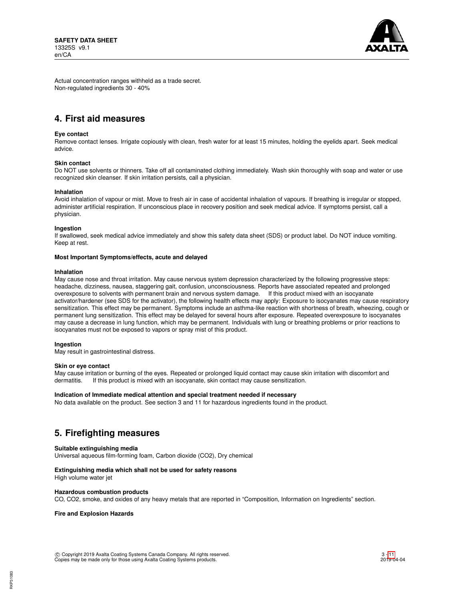

Actual concentration ranges withheld as a trade secret. Non-regulated ingredients 30 - 40%

# **4. First aid measures**

### **Eye contact**

Remove contact lenses. Irrigate copiously with clean, fresh water for at least 15 minutes, holding the eyelids apart. Seek medical advice.

### **Skin contact**

Do NOT use solvents or thinners. Take off all contaminated clothing immediately. Wash skin thoroughly with soap and water or use recognized skin cleanser. If skin irritation persists, call a physician.

### **Inhalation**

Avoid inhalation of vapour or mist. Move to fresh air in case of accidental inhalation of vapours. If breathing is irregular or stopped, administer artificial respiration. If unconscious place in recovery position and seek medical advice. If symptoms persist, call a physician.

### **Ingestion**

If swallowed, seek medical advice immediately and show this safety data sheet (SDS) or product label. Do NOT induce vomiting. Keep at rest.

### **Most Important Symptoms/effects, acute and delayed**

### **Inhalation**

May cause nose and throat irritation. May cause nervous system depression characterized by the following progressive steps: headache, dizziness, nausea, staggering gait, confusion, unconsciousness. Reports have associated repeated and prolonged overexposure to solvents with permanent brain and nervous system damage. If this product mixed with an isocyanate activator/hardener (see SDS for the activator), the following health effects may apply: Exposure to isocyanates may cause respiratory sensitization. This effect may be permanent. Symptoms include an asthma-like reaction with shortness of breath, wheezing, cough or permanent lung sensitization. This effect may be delayed for several hours after exposure. Repeated overexposure to isocyanates may cause a decrease in lung function, which may be permanent. Individuals with lung or breathing problems or prior reactions to isocyanates must not be exposed to vapors or spray mist of this product.

### **Ingestion**

May result in gastrointestinal distress.

### **Skin or eye contact**

May cause irritation or burning of the eyes. Repeated or prolonged liquid contact may cause skin irritation with discomfort and dermatitis. If this product is mixed with an isocyanate, skin contact may cause sensitization.

### **Indication of Immediate medical attention and special treatment needed if necessary**

No data available on the product. See section 3 and 11 for hazardous ingredients found in the product.

# **5. Firefighting measures**

### **Suitable extinguishing media**

Universal aqueous film-forming foam, Carbon dioxide (CO2), Dry chemical

### **Extinguishing media which shall not be used for safety reasons**

High volume water jet

### **Hazardous combustion products**

CO, CO2, smoke, and oxides of any heavy metals that are reported in "Composition, Information on Ingredients" section.

### **Fire and Explosion Hazards**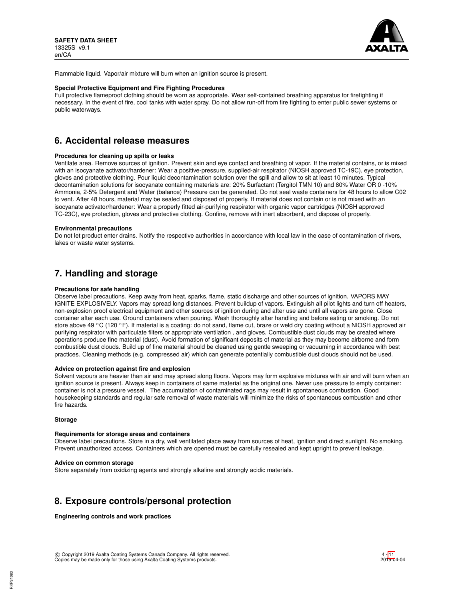

Flammable liquid. Vapor/air mixture will burn when an ignition source is present.

### **Special Protective Equipment and Fire Fighting Procedures**

Full protective flameproof clothing should be worn as appropriate. Wear self-contained breathing apparatus for firefighting if necessary. In the event of fire, cool tanks with water spray. Do not allow run-off from fire fighting to enter public sewer systems or public waterways.

## **6. Accidental release measures**

### **Procedures for cleaning up spills or leaks**

Ventilate area. Remove sources of ignition. Prevent skin and eye contact and breathing of vapor. If the material contains, or is mixed with an isocyanate activator/hardener: Wear a positive-pressure, supplied-air respirator (NIOSH approved TC-19C), eye protection, gloves and protective clothing. Pour liquid decontamination solution over the spill and allow to sit at least 10 minutes. Typical decontamination solutions for isocyanate containing materials are: 20% Surfactant (Tergitol TMN 10) and 80% Water OR 0 -10% Ammonia, 2-5% Detergent and Water (balance) Pressure can be generated. Do not seal waste containers for 48 hours to allow C02 to vent. After 48 hours, material may be sealed and disposed of properly. If material does not contain or is not mixed with an isocyanate activator/hardener: Wear a properly fitted air-purifying respirator with organic vapor cartridges (NIOSH approved TC-23C), eye protection, gloves and protective clothing. Confine, remove with inert absorbent, and dispose of properly.

### **Environmental precautions**

Do not let product enter drains. Notify the respective authorities in accordance with local law in the case of contamination of rivers, lakes or waste water systems.

## **7. Handling and storage**

### **Precautions for safe handling**

Observe label precautions. Keep away from heat, sparks, flame, static discharge and other sources of ignition. VAPORS MAY IGNITE EXPLOSIVELY. Vapors may spread long distances. Prevent buildup of vapors. Extinguish all pilot lights and turn off heaters, non-explosion proof electrical equipment and other sources of ignition during and after use and until all vapors are gone. Close container after each use. Ground containers when pouring. Wash thoroughly after handling and before eating or smoking. Do not store above 49  $\degree$ C (120  $\degree$ F). If material is a coating: do not sand, flame cut, braze or weld dry coating without a NIOSH approved air purifying respirator with particulate filters or appropriate ventilation , and gloves. Combustible dust clouds may be created where operations produce fine material (dust). Avoid formation of significant deposits of material as they may become airborne and form combustible dust clouds. Build up of fine material should be cleaned using gentle sweeping or vacuuming in accordance with best practices. Cleaning methods (e.g. compressed air) which can generate potentially combustible dust clouds should not be used.

### **Advice on protection against fire and explosion**

Solvent vapours are heavier than air and may spread along floors. Vapors may form explosive mixtures with air and will burn when an ignition source is present. Always keep in containers of same material as the original one. Never use pressure to empty container: container is not a pressure vessel. The accumulation of contaminated rags may result in spontaneous combustion. Good housekeeping standards and regular safe removal of waste materials will minimize the risks of spontaneous combustion and other fire hazards.

### **Storage**

RKP31083

### **Requirements for storage areas and containers**

Observe label precautions. Store in a dry, well ventilated place away from sources of heat, ignition and direct sunlight. No smoking. Prevent unauthorized access. Containers which are opened must be carefully resealed and kept upright to prevent leakage.

#### **Advice on common storage**

Store separately from oxidizing agents and strongly alkaline and strongly acidic materials.

# **8. Exposure controls/personal protection**

**Engineering controls and work practices**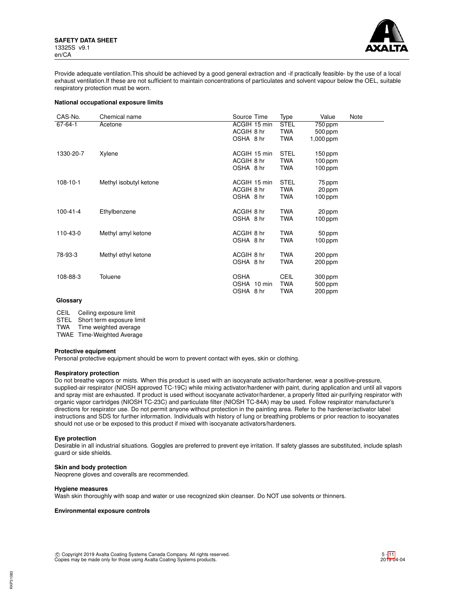

Provide adequate ventilation.This should be achieved by a good general extraction and -if practically feasible- by the use of a local exhaust ventilation.If these are not sufficient to maintain concentrations of particulates and solvent vapour below the OEL, suitable respiratory protection must be worn.

### **National occupational exposure limits**

| CAS-No.              | Chemical name                                                           | Source Time                                                                                   | Type                                                  | Value                                                                                           | Note |
|----------------------|-------------------------------------------------------------------------|-----------------------------------------------------------------------------------------------|-------------------------------------------------------|-------------------------------------------------------------------------------------------------|------|
| 67-64-1              | Acetone                                                                 | ACGIH 15 min                                                                                  | <b>STEL</b>                                           | 750 ppm                                                                                         |      |
|                      |                                                                         | ACGIH 8 hr                                                                                    | TWA                                                   | 500 ppm                                                                                         |      |
|                      |                                                                         | OSHA 8 hr                                                                                     | TWA                                                   | 1,000 ppm                                                                                       |      |
| 1330-20-7            | Xylene                                                                  | ACGIH 15 min                                                                                  | <b>STEL</b>                                           | $150$ ppm                                                                                       |      |
|                      |                                                                         | ACGIH 8 hr                                                                                    | TWA                                                   | $100$ ppm                                                                                       |      |
|                      |                                                                         | OSHA 8 hr                                                                                     | TWA                                                   | $100$ ppm                                                                                       |      |
| $108 - 10 - 1$       |                                                                         | ACGIH 15 min                                                                                  | <b>STEL</b>                                           |                                                                                                 |      |
|                      |                                                                         |                                                                                               |                                                       |                                                                                                 |      |
|                      |                                                                         |                                                                                               |                                                       |                                                                                                 |      |
|                      |                                                                         |                                                                                               |                                                       |                                                                                                 |      |
| $100 - 41 - 4$       |                                                                         | ACGIH 8 hr                                                                                    | TWA                                                   |                                                                                                 |      |
|                      |                                                                         | OSHA 8 hr                                                                                     | TWA                                                   | $100$ ppm                                                                                       |      |
|                      |                                                                         |                                                                                               |                                                       |                                                                                                 |      |
|                      |                                                                         |                                                                                               |                                                       |                                                                                                 |      |
|                      |                                                                         |                                                                                               |                                                       |                                                                                                 |      |
| 78-93-3              | Methyl ethyl ketone                                                     | ACGIH 8 hr                                                                                    | TWA                                                   | 200 ppm                                                                                         |      |
|                      |                                                                         | OSHA 8 hr                                                                                     | TWA                                                   | 200 ppm                                                                                         |      |
|                      |                                                                         |                                                                                               |                                                       |                                                                                                 |      |
|                      |                                                                         |                                                                                               |                                                       |                                                                                                 |      |
|                      |                                                                         |                                                                                               |                                                       |                                                                                                 |      |
| 110-43-0<br>108-88-3 | Methyl isobutyl ketone<br>Ethylbenzene<br>Methyl amyl ketone<br>Toluene | ACGIH 8 hr<br>OSHA 8 hr<br>ACGIH 8 hr<br>OSHA 8 hr<br><b>OSHA</b><br>OSHA 10 min<br>OSHA 8 hr | TWA<br>TWA<br><b>TWA</b><br>TWA<br>CEIL<br>TWA<br>TWA | 75 ppm<br>20 ppm<br>$100$ ppm<br>20 ppm<br>50 ppm<br>$100$ ppm<br>300 ppm<br>500 ppm<br>200 ppm |      |

## **Glossary**

CEIL Ceiling exposure limit

STEL Short term exposure limit<br>TWA Time weighted average

Time weighted average

TWAE Time-Weighted Average

### **Protective equipment**

Personal protective equipment should be worn to prevent contact with eyes, skin or clothing.

### **Respiratory protection**

Do not breathe vapors or mists. When this product is used with an isocyanate activator/hardener, wear a positive-pressure, supplied-air respirator (NIOSH approved TC-19C) while mixing activator/hardener with paint, during application and until all vapors and spray mist are exhausted. If product is used without isocyanate activator/hardener, a properly fitted air-purifying respirator with organic vapor cartridges (NIOSH TC-23C) and particulate filter (NIOSH TC-84A) may be used. Follow respirator manufacturer's directions for respirator use. Do not permit anyone without protection in the painting area. Refer to the hardener/activator label instructions and SDS for further information. Individuals with history of lung or breathing problems or prior reaction to isocyanates should not use or be exposed to this product if mixed with isocyanate activators/hardeners.

### **Eye protection**

Desirable in all industrial situations. Goggles are preferred to prevent eye irritation. If safety glasses are substituted, include splash guard or side shields.

### **Skin and body protection**

Neoprene gloves and coveralls are recommended.

### **Hygiene measures**

Wash skin thoroughly with soap and water or use recognized skin cleanser. Do NOT use solvents or thinners.

### **Environmental exposure controls**

 c Copyright 2019 Axalta Coating Systems Canada Company. All rights reserved. Copies may be made only for those using Axalta Coating Systems products.

RKP31083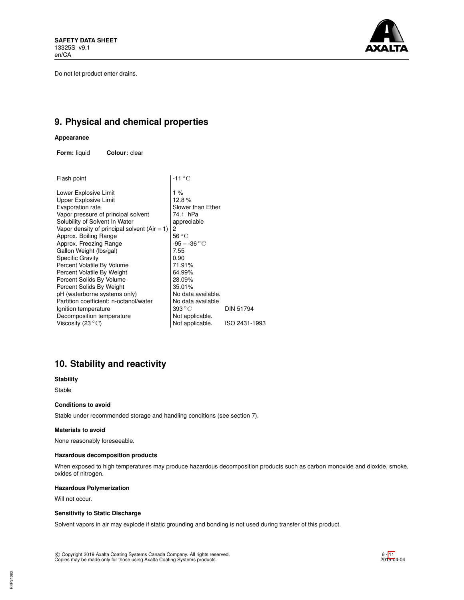Do not let product enter drains.



# **9. Physical and chemical properties**

### **Appearance**

**Form:** liquid **Colour:** clear

| Flash point                                     | $-11^{\circ}$ C             |               |
|-------------------------------------------------|-----------------------------|---------------|
| Lower Explosive Limit                           | 1 %                         |               |
| Upper Explosive Limit                           | 12.8%                       |               |
| Evaporation rate                                | Slower than Ether           |               |
| Vapor pressure of principal solvent             | 74.1 hPa                    |               |
| Solubility of Solvent In Water                  | appreciable                 |               |
| Vapor density of principal solvent (Air $= 1$ ) | 2                           |               |
| Approx. Boiling Range                           | 56 °C                       |               |
| Approx. Freezing Range                          | -95 – -36 $^{\circ}{\rm C}$ |               |
| Gallon Weight (lbs/gal)                         | 7.55                        |               |
| <b>Specific Gravity</b>                         | 0.90                        |               |
| Percent Volatile By Volume                      | 71.91%                      |               |
| Percent Volatile By Weight                      | 64.99%                      |               |
| Percent Solids By Volume                        | 28.09%                      |               |
| Percent Solids By Weight                        | 35.01%                      |               |
| pH (waterborne systems only)                    | No data available.          |               |
| Partition coefficient: n-octanol/water          | No data available           |               |
| Ignition temperature                            | $393\,^{\circ}\mathrm{C}$   | DIN 51794     |
| Decomposition temperature                       | Not applicable.             |               |
| Viscosity (23 $^{\circ}$ C)                     | Not applicable.             | ISO 2431-1993 |
|                                                 |                             |               |

# **10. Stability and reactivity**

## **Stability**

Stable

### **Conditions to avoid**

Stable under recommended storage and handling conditions (see section 7).

### **Materials to avoid**

None reasonably foreseeable.

### **Hazardous decomposition products**

When exposed to high temperatures may produce hazardous decomposition products such as carbon monoxide and dioxide, smoke, oxides of nitrogen.

### **Hazardous Polymerization**

Will not occur.

### **Sensitivity to Static Discharge**

Solvent vapors in air may explode if static grounding and bonding is not used during transfer of this product.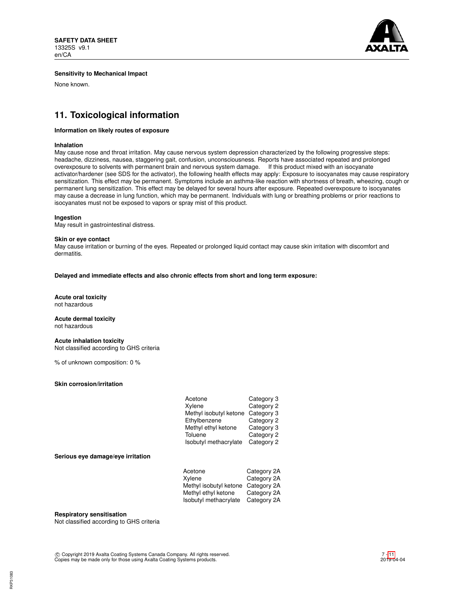

### **Sensitivity to Mechanical Impact**

None known.

# **11. Toxicological information**

### **Information on likely routes of exposure**

### **Inhalation**

May cause nose and throat irritation. May cause nervous system depression characterized by the following progressive steps: headache, dizziness, nausea, staggering gait, confusion, unconsciousness. Reports have associated repeated and prolonged overexposure to solvents with permanent brain and nervous system damage. If this product mixed with an isocyanate activator/hardener (see SDS for the activator), the following health effects may apply: Exposure to isocyanates may cause respiratory sensitization. This effect may be permanent. Symptoms include an asthma-like reaction with shortness of breath, wheezing, cough or permanent lung sensitization. This effect may be delayed for several hours after exposure. Repeated overexposure to isocyanates may cause a decrease in lung function, which may be permanent. Individuals with lung or breathing problems or prior reactions to isocyanates must not be exposed to vapors or spray mist of this product.

### **Ingestion**

May result in gastrointestinal distress.

### **Skin or eye contact**

May cause irritation or burning of the eyes. Repeated or prolonged liquid contact may cause skin irritation with discomfort and dermatitis.

### **Delayed and immediate effects and also chronic effects from short and long term exposure:**

#### **Acute oral toxicity** not hazardous

**Acute dermal toxicity** not hazardous

### **Acute inhalation toxicity**

Not classified according to GHS criteria

% of unknown composition: 0 %

### **Skin corrosion/irritation**

| Acetone                | Category 3 |
|------------------------|------------|
| Xylene                 | Category 2 |
| Methyl isobutyl ketone | Category 3 |
| Ethylbenzene           | Category 2 |
| Methyl ethyl ketone    | Category 3 |
| Toluene                | Category 2 |
| Isobutyl methacrylate  | Category 2 |

### **Serious eye damage/eye irritation**

| Acetone                | Category 2A |
|------------------------|-------------|
| Xylene                 | Category 2A |
| Methyl isobutyl ketone | Category 2A |
| Methyl ethyl ketone    | Category 2A |
| Isobutyl methacrylate  | Category 2A |

### **Respiratory sensitisation**

Not classified according to GHS criteria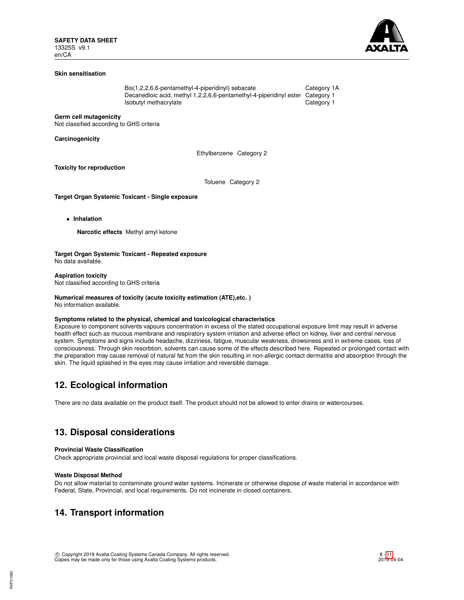

### **Skin sensitisation**

Bis(1,2,2,6,6-pentamethyl-4-piperidinyl) sebacate Category 1A<br>Decanedioic acid, methyl 1,2,2,6,6-pentamethyl-4-piperidinyl ester Category 1 Decanedioic acid, methyl 1,2,2,6,6-pentamethyl-4-piperidinyl ester Isobutyl methacrylate **Category 1** 

**Germ cell mutagenicity**

Not classified according to GHS criteria

**Carcinogenicity**

Ethylbenzene Category 2

**Toxicity for reproduction**

Toluene Category 2

**Target Organ Systemic Toxicant - Single exposure**

• **Inhalation**

**Narcotic effects** Methyl amyl ketone

**Target Organ Systemic Toxicant - Repeated exposure** No data available.

**Aspiration toxicity** Not classified according to GHS criteria

# **Numerical measures of toxicity (acute toxicity estimation (ATE),etc. )**

No information available.

### **Symptoms related to the physical, chemical and toxicological characteristics**

Exposure to component solvents vapours concentration in excess of the stated occupational exposure limit may result in adverse health effect such as mucous membrane and respiratory system irritation and adverse effect on kidney, liver and central nervous system. Symptoms and signs include headache, dizziness, fatigue, muscular weakness, drowsiness and in extreme cases, loss of consciousness. Through skin resorbtion, solvents can cause some of the effects described here. Repeated or prolonged contact with the preparation may cause removal of natural fat from the skin resulting in non-allergic contact dermatitis and absorption through the skin. The liquid splashed in the eyes may cause irritation and reversible damage.

# **12. Ecological information**

There are no data available on the product itself. The product should not be allowed to enter drains or watercourses.

# **13. Disposal considerations**

### **Provincial Waste Classification**

Check appropriate provincial and local waste disposal regulations for proper classifications.

### **Waste Disposal Method**

Do not allow material to contaminate ground water systems. Incinerate or otherwise dispose of waste material in accordance with Federal, State, Provincial, and local requirements. Do not incinerate in closed containers.

# **14. Transport information**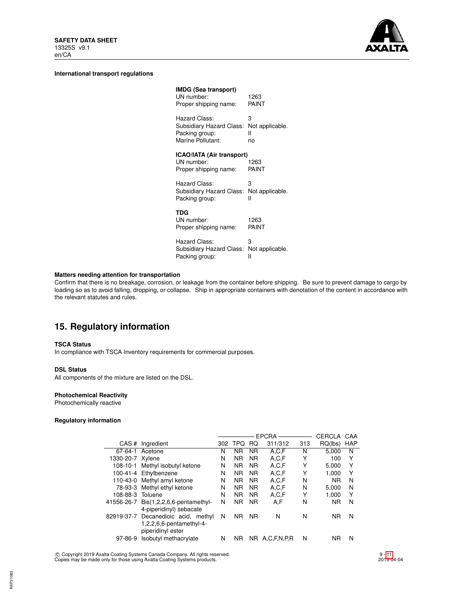

### **International transport regulations**

| <b>IMDG (Sea transport)</b><br>UN number:<br>Proper shipping name:               | 1263<br>PAINT                   |
|----------------------------------------------------------------------------------|---------------------------------|
| Hazard Class:<br>Subsidiary Hazard Class:<br>Packing group:<br>Marine Pollutant: | 3<br>Not applicable.<br>н<br>no |
| ICAO/IATA (Air transport)<br>UN number:<br>Proper shipping name:                 | 1263<br>PAINT                   |
| Hazard Class:<br>Subsidiary Hazard Class: Not applicable.<br>Packing group:      | 3<br>Ш                          |
| TDG<br>UN number:<br>Proper shipping name:                                       | 1263<br>PAINT                   |
| Hazard Class:<br>Subsidiary Hazard Class:<br>Packing group:                      | 3<br>Not applicable.<br>н       |

## **Matters needing attention for transportation**

Confirm that there is no breakage, corrosion, or leakage from the container before shipping. Be sure to prevent damage to cargo by loading so as to avoid falling, dropping, or collapse. Ship in appropriate containers with denotation of the content in accordance with the relevant statutes and rules.

# **15. Regulatory information**

### **TSCA Status**

In compliance with TSCA Inventory requirements for commercial purposes.

### **DSL Status**

All components of the mixture are listed on the DSL.

### **Photochemical Reactivity**

Photochemically reactive

## **Regulatory information**

 $\overline{a}$ 

|                  |                                                                                      |     |           |           | EPCRA-      |     | CERCLA    | CAA        |  |
|------------------|--------------------------------------------------------------------------------------|-----|-----------|-----------|-------------|-----|-----------|------------|--|
|                  | CAS # Ingredient                                                                     | 302 | TPQ       | <b>RQ</b> | 311/312     | 313 | RQ(lbs)   | <b>HAP</b> |  |
|                  | 67-64-1 Acetone                                                                      | N   | <b>NR</b> | <b>NR</b> | A.C.F       | N   | 5.000     | N          |  |
| 1330-20-7 Xylene |                                                                                      | N   | <b>NR</b> | NR.       | A.C.F       | Υ   | 100       | Y          |  |
|                  | 108-10-1 Methyl isobutyl ketone                                                      | N   | <b>NR</b> | <b>NR</b> | A.C.F       | Υ   | 5.000     | Y          |  |
|                  | 100-41-4 Ethylbenzene                                                                | N   | <b>NR</b> | NR.       | A,C,F       | Υ   | 1.000     | Υ          |  |
|                  | 110-43-0 Methyl amyl ketone                                                          | N   | <b>NR</b> | <b>NR</b> | A.C.F       | N   | <b>NR</b> | N          |  |
|                  | 78-93-3 Methyl ethyl ketone                                                          | N   | <b>NR</b> | <b>NR</b> | A.C.F       | N   | 5.000     | N          |  |
| 108-88-3 Toluene |                                                                                      | N   | <b>NR</b> | <b>NR</b> | A,C,F       | Υ   | 1.000     | Y          |  |
|                  | 41556-26-7 Bis(1,2,2,6,6-pentamethyl-<br>4-piperidinyl) sebacate                     | N   | <b>NR</b> | <b>NR</b> | A.F         | N   | <b>NR</b> | N          |  |
|                  | 82919-37-7 Decanedioic acid, methyl<br>1,2,2,6,6-pentamethyl-4-<br>piperidinyl ester | N   | <b>NR</b> | <b>NR</b> | N           | N   | <b>NR</b> | N          |  |
| $97 - 86 - 9$    | Isobutyl methacrylate                                                                | N   | <b>NR</b> | NR.       | A.C.F.N.P.R | N   | ΝR        | N          |  |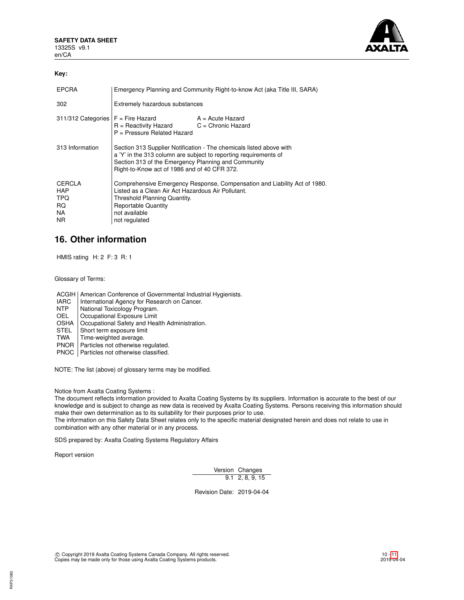

### **Key:**

| <b>EPCRA</b>                                     | Emergency Planning and Community Right-to-know Act (aka Title III, SARA)                                                                                                                                                                       |                  |  |
|--------------------------------------------------|------------------------------------------------------------------------------------------------------------------------------------------------------------------------------------------------------------------------------------------------|------------------|--|
| 302                                              | Extremely hazardous substances                                                                                                                                                                                                                 |                  |  |
|                                                  | $311/312$ Categories $F =$ Fire Hazard<br>$R =$ Reactivity Hazard $C =$ Chronic Hazard<br>$P =$ Pressure Related Hazard                                                                                                                        | A = Acute Hazard |  |
| 313 Information                                  | Section 313 Supplier Notification - The chemicals listed above with<br>a 'Y' in the 313 column are subject to reporting requirements of<br>Section 313 of the Emergency Planning and Community<br>Right-to-Know act of 1986 and of 40 CFR 372. |                  |  |
| CERCLA<br><b>HAP</b><br>TPQ<br>RQ.<br>NA.<br>NR. | Comprehensive Emergency Response, Compensation and Liability Act of 1980.<br>Listed as a Clean Air Act Hazardous Air Pollutant.<br>Threshold Planning Quantity.<br><b>Reportable Quantity</b><br>not available<br>not regulated                |                  |  |

# **16. Other information**

HMIS rating H: 2 F: 3 R: 1

Glossary of Terms:

ACGIH | American Conference of Governmental Industrial Hygienists.

- IARC | International Agency for Research on Cancer.<br>
NTP | National Toxicology Program.
- NTP National Toxicology Program.<br>OEL Cocupational Exposure Limit
- Occupational Exposure Limit
- OSHA | Occupational Safety and Health Administration.<br>STEL | Short term exposure limit
- STEL Short term exposure limit<br>TWA Time-weighted average.
- Time-weighted average.
- PNOR | Particles not otherwise regulated.

PNOC Particles not otherwise classified.

NOTE: The list (above) of glossary terms may be modified.

Notice from Axalta Coating Systems :

The document reflects information provided to Axalta Coating Systems by its suppliers. Information is accurate to the best of our knowledge and is subject to change as new data is received by Axalta Coating Systems. Persons receiving this information should make their own determination as to its suitability for their purposes prior to use.

The information on this Safety Data Sheet relates only to the specific material designated herein and does not relate to use in combination with any other material or in any process.

SDS prepared by: Axalta Coating Systems Regulatory Affairs

Report version

RKP31083

Version Changes 9.1 2, 8, 9, 15

Revision Date: 2019-04-04